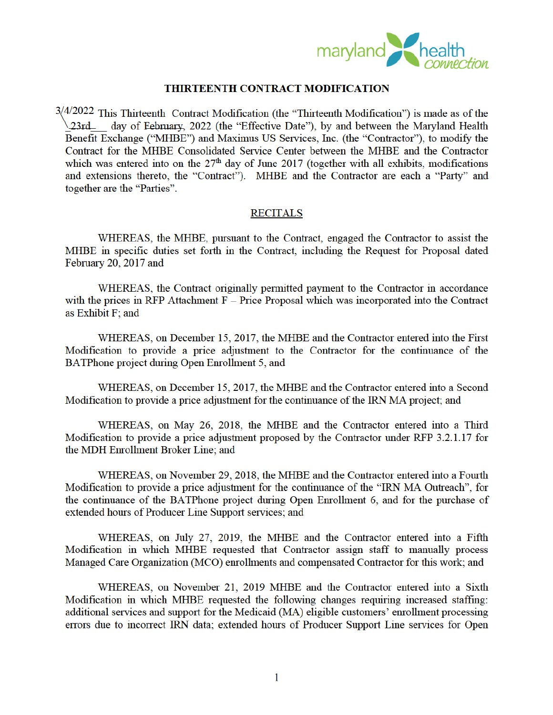

## **THIRTEENTH CONTRACT MODIFICATION**

 $3/4/2022$  This Thirteenth Contract Modification (the "Thirteenth Modification") is made as of the 23rd day of February, 2022 (the "Effective Date"), by and between the Maryland Health Benefit Exchange ("MHBE") and Maximus US Services, Inc. (the "Contractor"), to modify the Contract for the MHBE Consolidated Service Center between the MHBE and the Contractor which was entered into on the  $27<sup>th</sup>$  day of June 2017 (together with all exhibits, modifications and extensions thereto, the "Contract"). MHBE and the Contractor are each a "Party" and together are the "Parties".

## **RECITALS**

WHEREAS, the MHBE, pursuant to the Contract, engaged the Contractor to assist the MHBE in specific duties set forth in the Contract, including the Request for Proposal dated February 20, 2017 and

WHEREAS, the Contract originally permitted payment to the Contractor in accordance with the prices in RFP Attachment  $F -$  Price Proposal which was incorporated into the Contract as Exhibit F; and

WHEREAS, on December 15, 2017, the MHBE and the Contractor entered into the First Modification to provide a price adjustment to the Contractor for the continuance of the BATPhone project during Open Enrollment 5, and

WHEREAS, on December 15, 2017, the MHBE and the Contractor entered into a Second Modification to provide a price adjustment for the continuance of the IRN MA project; and

WHEREAS, on May 26, 2018, the MHBE and the Contractor entered into a Third Modification to provide a price adjustment proposed by the Contractor under RFP 3.2.1.17 for the MDH Enrollment Broker Line; and

WHEREAS, on November 29, 2018, the MHBE and the Contractor entered into a Fourth Modification to provide a price adjustment for the continuance of the "IRN MA Outreach", for the continuance of the BATPhone project during Open Enrollment 6, and for the purchase of extended hours of Producer Line Support services; and

WHEREAS, on July 27, 2019, the MHBE and the Contractor entered into a Fifth Modification in which MHBE requested that Contractor assign staff to manually process Managed Care Organization (MCO) enrollments and compensated Contractor for this work; and

WHEREAS, on November 21, 2019 MHBE and the Contractor entered into a Sixth Modification in which MHBE requested the following changes requiring increased staffing: additional services and support for the Medicaid (MA) eligible customers' enrollment processing errors due to incorrect IRN data; extended hours of Producer Support Line services for Open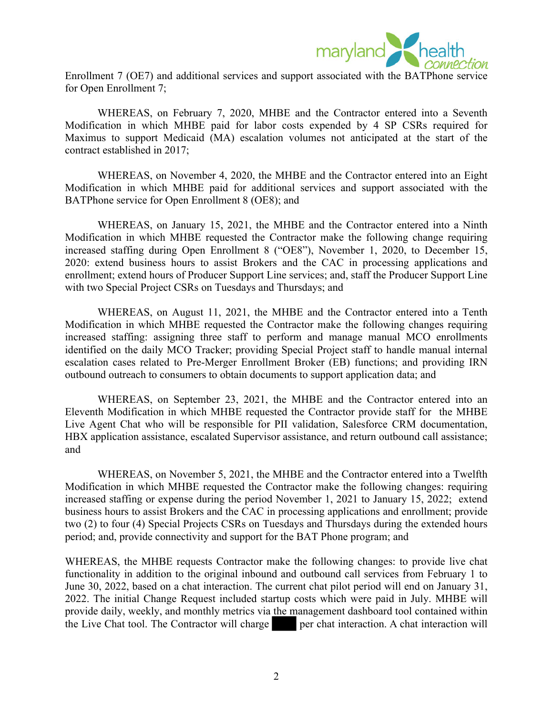

Enrollment 7 (OE7) and additional services and support associated with the BATPhone service for Open Enrollment 7;

WHEREAS, on February 7, 2020, MHBE and the Contractor entered into a Seventh Modification in which MHBE paid for labor costs expended by 4 SP CSRs required for Maximus to support Medicaid (MA) escalation volumes not anticipated at the start of the contract established in 2017;

WHEREAS, on November 4, 2020, the MHBE and the Contractor entered into an Eight Modification in which MHBE paid for additional services and support associated with the BATPhone service for Open Enrollment 8 (OE8); and

WHEREAS, on January 15, 2021, the MHBE and the Contractor entered into a Ninth Modification in which MHBE requested the Contractor make the following change requiring increased staffing during Open Enrollment 8 ("OE8"), November 1, 2020, to December 15, 2020: extend business hours to assist Brokers and the CAC in processing applications and enrollment; extend hours of Producer Support Line services; and, staff the Producer Support Line with two Special Project CSRs on Tuesdays and Thursdays; and

WHEREAS, on August 11, 2021, the MHBE and the Contractor entered into a Tenth Modification in which MHBE requested the Contractor make the following changes requiring increased staffing: assigning three staff to perform and manage manual MCO enrollments identified on the daily MCO Tracker; providing Special Project staff to handle manual internal escalation cases related to Pre-Merger Enrollment Broker (EB) functions; and providing IRN outbound outreach to consumers to obtain documents to support application data; and

WHEREAS, on September 23, 2021, the MHBE and the Contractor entered into an Eleventh Modification in which MHBE requested the Contractor provide staff for the MHBE Live Agent Chat who will be responsible for PII validation, Salesforce CRM documentation, HBX application assistance, escalated Supervisor assistance, and return outbound call assistance; and

WHEREAS, on November 5, 2021, the MHBE and the Contractor entered into a Twelfth Modification in which MHBE requested the Contractor make the following changes: requiring increased staffing or expense during the period November 1, 2021 to January 15, 2022; extend business hours to assist Brokers and the CAC in processing applications and enrollment; provide two (2) to four (4) Special Projects CSRs on Tuesdays and Thursdays during the extended hours period; and, provide connectivity and support for the BAT Phone program; and

WHEREAS, the MHBE requests Contractor make the following changes: to provide live chat functionality in addition to the original inbound and outbound call services from February 1 to June 30, 2022, based on a chat interaction. The current chat pilot period will end on January 31, 2022. The initial Change Request included startup costs which were paid in July. MHBE will provide daily, weekly, and monthly metrics via the management dashboard tool contained within the Live Chat tool. The Contractor will charge per chat interaction. A chat interaction will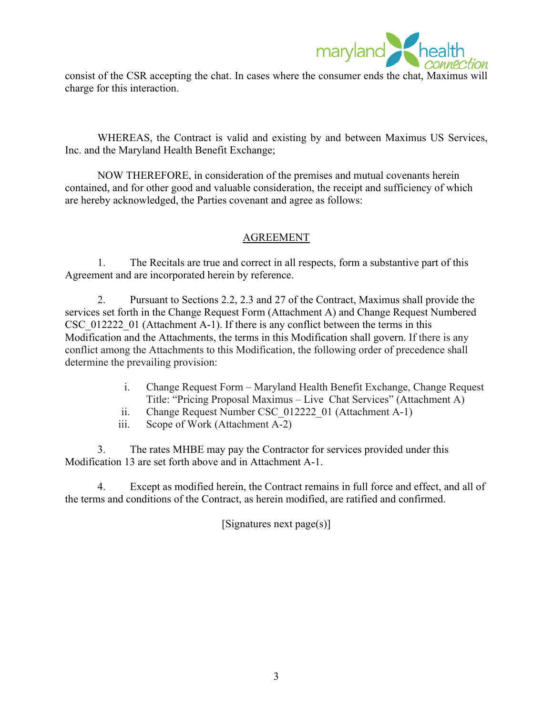

consist of the CSR accepting the chat. In cases where the consumer ends the chat, Maximus will charge for this interaction.

WHEREAS, the Contract is valid and existing by and between Maximus US Services, Inc. and the Maryland Health Benefit Exchange;

NOW THEREFORE, in consideration of the premises and mutual covenants herein contained, and for other good and valuable consideration, the receipt and sufficiency of which are hereby acknowledged, the Parties covenant and agree as follows:

## AGREEMENT

1. The Recitals are true and correct in all respects, form a substantive part of this Agreement and are incorporated herein by reference.

2. Pursuant to Sections 2.2, 2.3 and 27 of the Contract, Maximus shall provide the services set forth in the Change Request Form (Attachment A) and Change Request Numbered CSC 012222 01 (Attachment A-1). If there is any conflict between the terms in this Modification and the Attachments, the terms in this Modification shall govern. If there is any conflict among the Attachments to this Modification, the following order of precedence shall determine the prevailing provision:

- i. Change Request Form Maryland Health Benefit Exchange, Change Request Title: "Pricing Proposal Maximus – Live Chat Services" (Attachment A)
- ii. Change Request Number CSC 012222 01 (Attachment A-1)
- iii. Scope of Work (Attachment A-2)

3. The rates MHBE may pay the Contractor for services provided under this Modification 13 are set forth above and in Attachment A-1.

4. Except as modified herein, the Contract remains in full force and effect, and all of the terms and conditions of the Contract, as herein modified, are ratified and confirmed.

[Signatures next page(s)]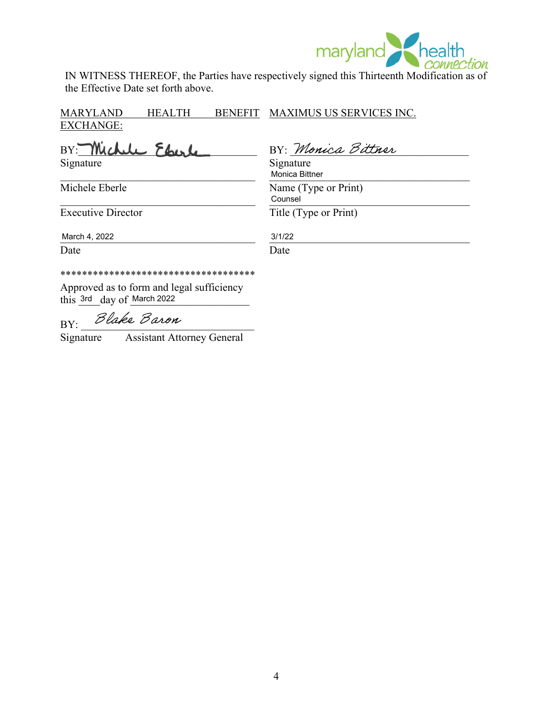

IN WITNESS THEREOF, the Parties have respectively signed this Thirteenth Modification as of the Effective Date set forth above.

MARYLAND HEALTH EXCHANGE: BENEFIT MAXIMUS US SERVICES INC.

BY: Michele Eberle Signature Signature Signature

\_\_\_\_\_\_\_\_\_\_\_\_\_\_\_\_\_\_\_\_\_\_\_\_\_\_\_\_\_\_\_\_\_\_\_\_ \_\_\_\_\_\_\_\_\_\_\_\_\_\_\_\_\_\_\_\_\_\_\_\_\_\_\_\_\_\_\_\_\_\_\_\_\_

Michele Eberle Name (Type or Print)

BY: Monica Bittner

Monica Bittner

Counsel

 $\blacksquare$   $\blacksquare$   $\blacksquare$   $\blacksquare$   $\blacksquare$   $\blacksquare$   $\blacksquare$   $\blacksquare$   $\blacksquare$   $\blacksquare$   $\blacksquare$   $\blacksquare$   $\blacksquare$   $\blacksquare$   $\blacksquare$   $\blacksquare$   $\blacksquare$   $\blacksquare$   $\blacksquare$   $\blacksquare$   $\blacksquare$   $\blacksquare$   $\blacksquare$   $\blacksquare$   $\blacksquare$   $\blacksquare$   $\blacksquare$   $\blacksquare$   $\blacksquare$   $\blacksquare$   $\blacksquare$   $\blacks$ 

Executive Director Title (Type or Print)

March 4, 2022 2003 2012 2022 2022 2022 2023 2024 2022 2023 2024 2022 2023 2024 2022 2023 2024 2022 2023 2022 20 March 4, 2022

3/1/22

Date Date Date

\*\*\*\*\*\*\*\*\*\*\*\*\*\*\*\*\*\*\*\*\*\*\*\*\*\*\*\*\*\*\*\*\*\*\*\*

Approved as to form and legal sufficiency this  $3rd$  day of March 2022

BY: Blake Baron

Signature Assistant Attorney General